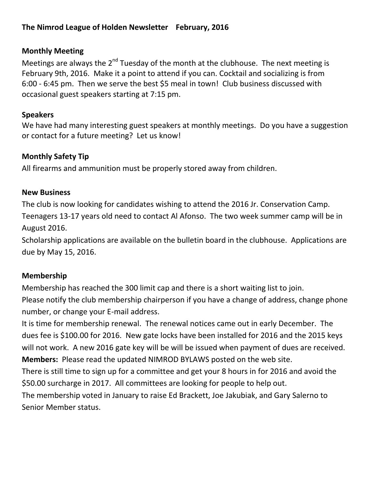### **The Nimrod League of Holden Newsletter February, 2016**

### **Monthly Meeting**

Meetings are always the 2<sup>nd</sup> Tuesday of the month at the clubhouse. The next meeting is February 9th, 2016. Make it a point to attend if you can. Cocktail and socializing is from 6:00 - 6:45 pm. Then we serve the best \$5 meal in town! Club business discussed with occasional guest speakers starting at 7:15 pm.

#### **Speakers**

We have had many interesting guest speakers at monthly meetings. Do you have a suggestion or contact for a future meeting? Let us know!

### **Monthly Safety Tip**

All firearms and ammunition must be properly stored away from children.

#### **New Business**

The club is now looking for candidates wishing to attend the 2016 Jr. Conservation Camp.

Teenagers 13-17 years old need to contact Al Afonso. The two week summer camp will be in August 2016.

Scholarship applications are available on the bulletin board in the clubhouse. Applications are due by May 15, 2016.

### **Membership**

Membership has reached the 300 limit cap and there is a short waiting list to join. Please notify the club membership chairperson if you have a change of address, change phone number, or change your E-mail address.

It is time for membership renewal. The renewal notices came out in early December. The dues fee is \$100.00 for 2016. New gate locks have been installed for 2016 and the 2015 keys will not work. A new 2016 gate key will be will be issued when payment of dues are received. **Members:** Please read the updated NIMROD BYLAWS posted on the web site.

There is still time to sign up for a committee and get your 8 hours in for 2016 and avoid the \$50.00 surcharge in 2017. All committees are looking for people to help out.

The membership voted in January to raise Ed Brackett, Joe Jakubiak, and Gary Salerno to Senior Member status.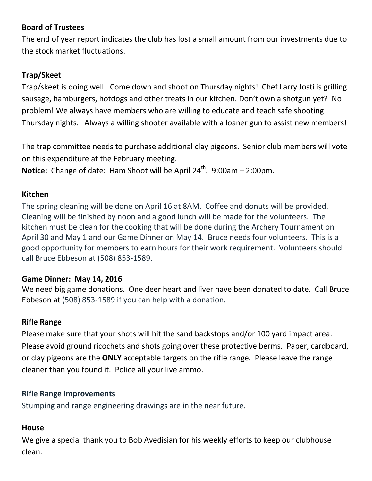## **Board of Trustees**

The end of year report indicates the club has lost a small amount from our investments due to the stock market fluctuations.

## **Trap/Skeet**

Trap/skeet is doing well. Come down and shoot on Thursday nights! Chef Larry Josti is grilling sausage, hamburgers, hotdogs and other treats in our kitchen. Don't own a shotgun yet? No problem! We always have members who are willing to educate and teach safe shooting Thursday nights. Always a willing shooter available with a loaner gun to assist new members!

The trap committee needs to purchase additional clay pigeons. Senior club members will vote on this expenditure at the February meeting.

**Notice:** Change of date: Ham Shoot will be April 24<sup>th</sup>. 9:00am – 2:00pm.

## **Kitchen**

The spring cleaning will be done on April 16 at 8AM. Coffee and donuts will be provided. Cleaning will be finished by noon and a good lunch will be made for the volunteers. The kitchen must be clean for the cooking that will be done during the Archery Tournament on April 30 and May 1 and our Game Dinner on May 14. Bruce needs four volunteers. This is a good opportunity for members to earn hours for their work requirement. Volunteers should call Bruce Ebbeson at (508) 853-1589.

## **Game Dinner: May 14, 2016**

We need big game donations. One deer heart and liver have been donated to date. Call Bruce Ebbeson at (508) 853-1589 if you can help with a donation.

## **Rifle Range**

Please make sure that your shots will hit the sand backstops and/or 100 yard impact area. Please avoid ground ricochets and shots going over these protective berms. Paper, cardboard, or clay pigeons are the **ONLY** acceptable targets on the rifle range. Please leave the range cleaner than you found it. Police all your live ammo.

## **Rifle Range Improvements**

Stumping and range engineering drawings are in the near future.

### **House**

We give a special thank you to Bob Avedisian for his weekly efforts to keep our clubhouse clean.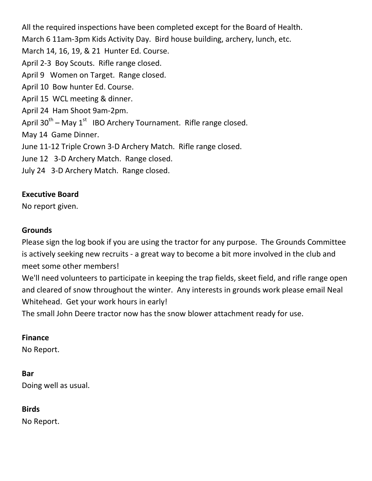All the required inspections have been completed except for the Board of Health.

March 6 11am-3pm Kids Activity Day. Bird house building, archery, lunch, etc.

March 14, 16, 19, & 21 Hunter Ed. Course.

April 2-3 Boy Scouts. Rifle range closed.

April 9 Women on Target. Range closed.

April 10 Bow hunter Ed. Course.

April 15 WCL meeting & dinner.

April 24 Ham Shoot 9am-2pm.

April 30<sup>th</sup> – May 1<sup>st</sup> IBO Archery Tournament. Rifle range closed.

May 14 Game Dinner.

June 11-12 Triple Crown 3-D Archery Match. Rifle range closed.

June 12 3-D Archery Match. Range closed.

July 24 3-D Archery Match. Range closed.

# **Executive Board**

No report given.

# **Grounds**

Please sign the log book if you are using the tractor for any purpose. The Grounds Committee is actively seeking new recruits - a great way to become a bit more involved in the club and meet some other members!

We'll need volunteers to participate in keeping the trap fields, skeet field, and rifle range open and cleared of snow throughout the winter. Any interests in grounds work please email Neal Whitehead. Get your work hours in early!

The small John Deere tractor now has the snow blower attachment ready for use.

# **Finance**

No Report.

# **Bar**

Doing well as usual.

## **Birds**

No Report.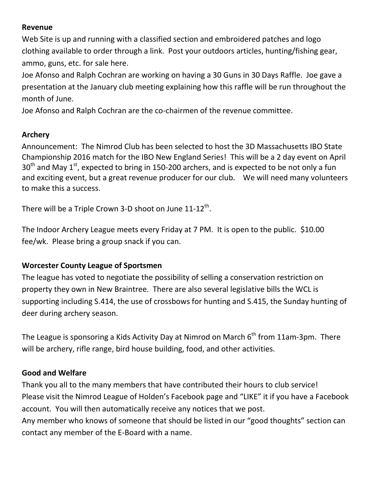## **Revenue**

Web Site is up and running with a classified section and embroidered patches and logo clothing available to order through a link. Post your outdoors articles, hunting/fishing gear, ammo, guns, etc. for sale here.

Joe Afonso and Ralph Cochran are working on having a 30 Guns in 30 Days Raffle. Joe gave a presentation at the January club meeting explaining how this raffle will be run throughout the month of June.

Joe Afonso and Ralph Cochran are the co-chairmen of the revenue committee.

## **Archery**

Announcement: The Nimrod Club has been selected to host the 3D Massachusetts IBO State Championship 2016 match for the IBO New England Series! This will be a 2 day event on April  $30<sup>th</sup>$  and May 1<sup>st</sup>, expected to bring in 150-200 archers, and is expected to be not only a fun and exciting event, but a great revenue producer for our club. We will need many volunteers to make this a success.

There will be a Triple Crown 3-D shoot on June  $11-12^{\text{th}}$ .

The Indoor Archery League meets every Friday at 7 PM. It is open to the public. \$10.00 fee/wk. Please bring a group snack if you can.

# **Worcester County League of Sportsmen**

The league has voted to negotiate the possibility of selling a conservation restriction on property they own in New Braintree. There are also several legislative bills the WCL is supporting including S.414, the use of crossbows for hunting and S.415, the Sunday hunting of deer during archery season.

The League is sponsoring a Kids Activity Day at Nimrod on March  $6<sup>th</sup>$  from 11am-3pm. There will be archery, rifle range, bird house building, food, and other activities.

## **Good and Welfare**

Thank you all to the many members that have contributed their hours to club service! Please visit the Nimrod League of Holden's Facebook page and "LIKE" it if you have a Facebook account. You will then automatically receive any notices that we post.

Any member who knows of someone that should be listed in our "good thoughts" section can contact any member of the E-Board with a name.